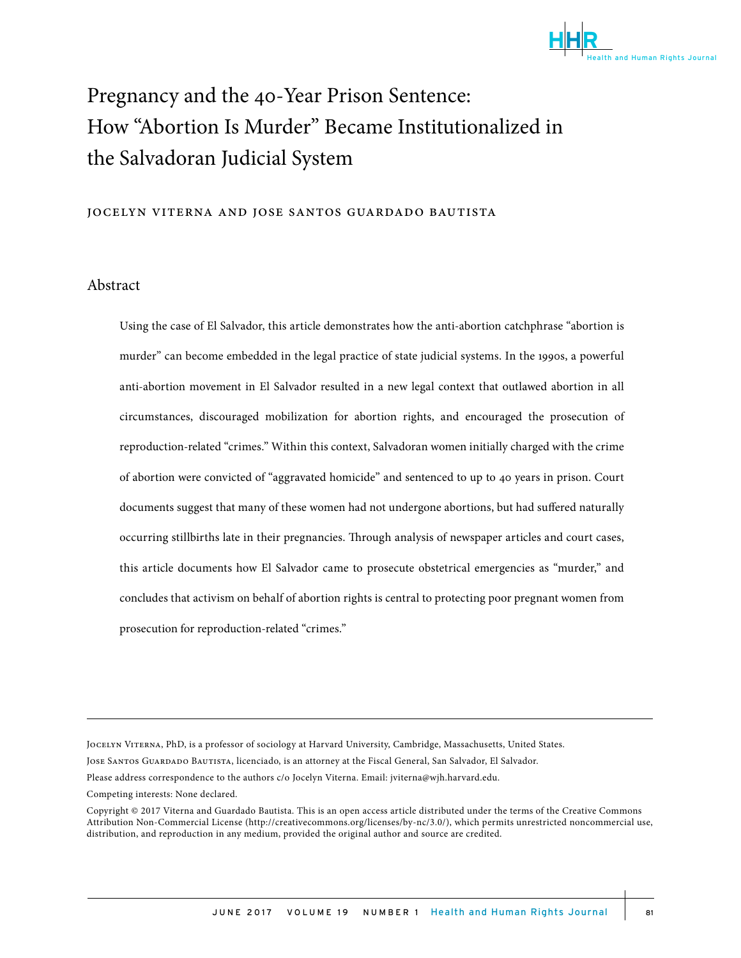

# Pregnancy and the 40-Year Prison Sentence: How "Abortion Is Murder" Became Institutionalized in the Salvadoran Judicial System

#### jocelyn viterna and jose santos guardado bautista

#### Abstract

Using the case of El Salvador, this article demonstrates how the anti-abortion catchphrase "abortion is murder" can become embedded in the legal practice of state judicial systems. In the 1990s, a powerful anti-abortion movement in El Salvador resulted in a new legal context that outlawed abortion in all circumstances, discouraged mobilization for abortion rights, and encouraged the prosecution of reproduction-related "crimes." Within this context, Salvadoran women initially charged with the crime of abortion were convicted of "aggravated homicide" and sentenced to up to 40 years in prison. Court documents suggest that many of these women had not undergone abortions, but had suffered naturally occurring stillbirths late in their pregnancies. Through analysis of newspaper articles and court cases, this article documents how El Salvador came to prosecute obstetrical emergencies as "murder," and concludes that activism on behalf of abortion rights is central to protecting poor pregnant women from prosecution for reproduction-related "crimes."

Jocelyn Viterna, PhD, is a professor of sociology at Harvard University, Cambridge, Massachusetts, United States.

Jose Santos Guardado Bautista, licenciado, is an attorney at the Fiscal General, San Salvador, El Salvador.

Please address correspondence to the authors c/o Jocelyn Viterna. Email: jviterna@wjh.harvard.edu.

Competing interests: None declared.

Copyright © 2017 Viterna and Guardado Bautista. This is an open access article distributed under the terms of the Creative Commons Attribution Non-Commercial License (http://creativecommons.org/licenses/by-nc/3.0/), which permits unrestricted noncommercial use, distribution, and reproduction in any medium, provided the original author and source are credited.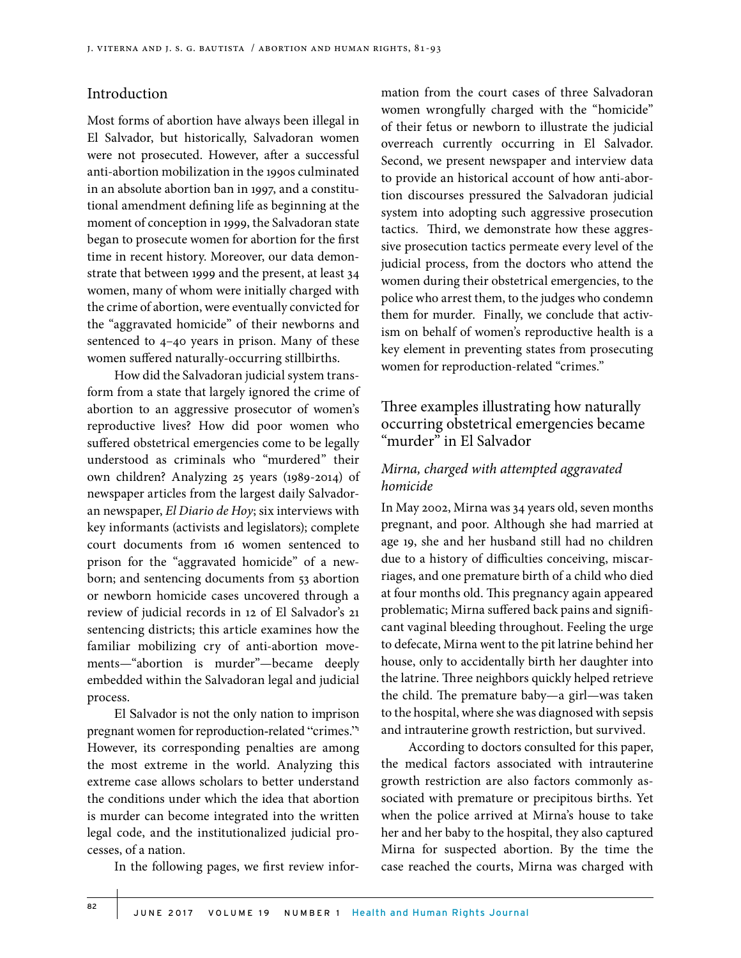#### Introduction

Most forms of abortion have always been illegal in El Salvador, but historically, Salvadoran women were not prosecuted. However, after a successful anti-abortion mobilization in the 1990s culminated in an absolute abortion ban in 1997, and a constitutional amendment defining life as beginning at the moment of conception in 1999, the Salvadoran state began to prosecute women for abortion for the first time in recent history. Moreover, our data demonstrate that between 1999 and the present, at least 34 women, many of whom were initially charged with the crime of abortion, were eventually convicted for the "aggravated homicide" of their newborns and sentenced to 4–40 years in prison. Many of these women suffered naturally-occurring stillbirths.

How did the Salvadoran judicial system transform from a state that largely ignored the crime of abortion to an aggressive prosecutor of women's reproductive lives? How did poor women who suffered obstetrical emergencies come to be legally understood as criminals who "murdered" their own children? Analyzing 25 years (1989-2014) of newspaper articles from the largest daily Salvadoran newspaper, *El Diario de Hoy*; six interviews with key informants (activists and legislators); complete court documents from 16 women sentenced to prison for the "aggravated homicide" of a newborn; and sentencing documents from 53 abortion or newborn homicide cases uncovered through a review of judicial records in 12 of El Salvador's 21 sentencing districts; this article examines how the familiar mobilizing cry of anti-abortion movements—"abortion is murder"—became deeply embedded within the Salvadoran legal and judicial process.

El Salvador is not the only nation to imprison pregnant women for reproduction-related "crimes."<sup>1</sup> However, its corresponding penalties are among the most extreme in the world. Analyzing this extreme case allows scholars to better understand the conditions under which the idea that abortion is murder can become integrated into the written legal code, and the institutionalized judicial processes, of a nation.

In the following pages, we first review infor-

mation from the court cases of three Salvadoran women wrongfully charged with the "homicide" of their fetus or newborn to illustrate the judicial overreach currently occurring in El Salvador. Second, we present newspaper and interview data to provide an historical account of how anti-abortion discourses pressured the Salvadoran judicial system into adopting such aggressive prosecution tactics. Third, we demonstrate how these aggressive prosecution tactics permeate every level of the judicial process, from the doctors who attend the women during their obstetrical emergencies, to the police who arrest them, to the judges who condemn them for murder. Finally, we conclude that activism on behalf of women's reproductive health is a key element in preventing states from prosecuting women for reproduction-related "crimes."

# Three examples illustrating how naturally occurring obstetrical emergencies became "murder" in El Salvador

#### *Mirna, charged with attempted aggravated homicide*

In May 2002, Mirna was 34 years old, seven months pregnant, and poor. Although she had married at age 19, she and her husband still had no children due to a history of difficulties conceiving, miscarriages, and one premature birth of a child who died at four months old. This pregnancy again appeared problematic; Mirna suffered back pains and significant vaginal bleeding throughout. Feeling the urge to defecate, Mirna went to the pit latrine behind her house, only to accidentally birth her daughter into the latrine. Three neighbors quickly helped retrieve the child. The premature baby—a girl—was taken to the hospital, where she was diagnosed with sepsis and intrauterine growth restriction, but survived.

According to doctors consulted for this paper, the medical factors associated with intrauterine growth restriction are also factors commonly associated with premature or precipitous births. Yet when the police arrived at Mirna's house to take her and her baby to the hospital, they also captured Mirna for suspected abortion. By the time the case reached the courts, Mirna was charged with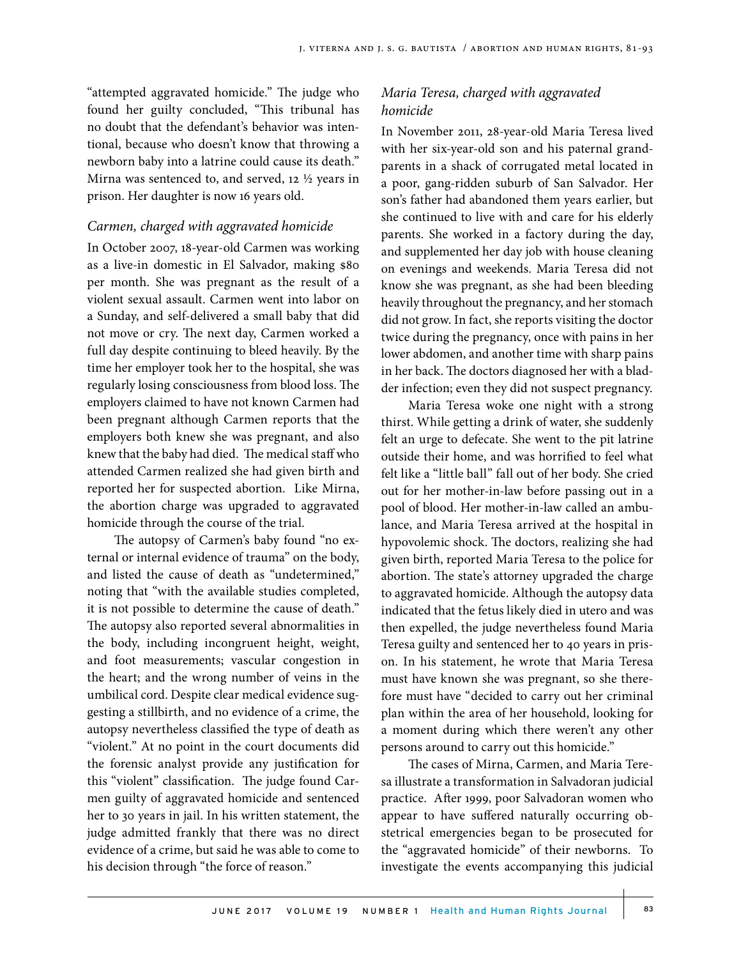"attempted aggravated homicide." The judge who found her guilty concluded, "This tribunal has no doubt that the defendant's behavior was intentional, because who doesn't know that throwing a newborn baby into a latrine could cause its death." Mirna was sentenced to, and served, 12 ½ years in prison. Her daughter is now 16 years old.

#### *Carmen, charged with aggravated homicide*

In October 2007, 18-year-old Carmen was working as a live-in domestic in El Salvador, making \$80 per month. She was pregnant as the result of a violent sexual assault. Carmen went into labor on a Sunday, and self-delivered a small baby that did not move or cry. The next day, Carmen worked a full day despite continuing to bleed heavily. By the time her employer took her to the hospital, she was regularly losing consciousness from blood loss. The employers claimed to have not known Carmen had been pregnant although Carmen reports that the employers both knew she was pregnant, and also knew that the baby had died. The medical staff who attended Carmen realized she had given birth and reported her for suspected abortion. Like Mirna, the abortion charge was upgraded to aggravated homicide through the course of the trial.

The autopsy of Carmen's baby found "no external or internal evidence of trauma" on the body, and listed the cause of death as "undetermined," noting that "with the available studies completed, it is not possible to determine the cause of death." The autopsy also reported several abnormalities in the body, including incongruent height, weight, and foot measurements; vascular congestion in the heart; and the wrong number of veins in the umbilical cord. Despite clear medical evidence suggesting a stillbirth, and no evidence of a crime, the autopsy nevertheless classified the type of death as "violent." At no point in the court documents did the forensic analyst provide any justification for this "violent" classification. The judge found Carmen guilty of aggravated homicide and sentenced her to 30 years in jail. In his written statement, the judge admitted frankly that there was no direct evidence of a crime, but said he was able to come to his decision through "the force of reason."

## *Maria Teresa, charged with aggravated homicide*

In November 2011, 28-year-old Maria Teresa lived with her six-year-old son and his paternal grandparents in a shack of corrugated metal located in a poor, gang-ridden suburb of San Salvador. Her son's father had abandoned them years earlier, but she continued to live with and care for his elderly parents. She worked in a factory during the day, and supplemented her day job with house cleaning on evenings and weekends. Maria Teresa did not know she was pregnant, as she had been bleeding heavily throughout the pregnancy, and her stomach did not grow. In fact, she reports visiting the doctor twice during the pregnancy, once with pains in her lower abdomen, and another time with sharp pains in her back. The doctors diagnosed her with a bladder infection; even they did not suspect pregnancy.

Maria Teresa woke one night with a strong thirst. While getting a drink of water, she suddenly felt an urge to defecate. She went to the pit latrine outside their home, and was horrified to feel what felt like a "little ball" fall out of her body. She cried out for her mother-in-law before passing out in a pool of blood. Her mother-in-law called an ambulance, and Maria Teresa arrived at the hospital in hypovolemic shock. The doctors, realizing she had given birth, reported Maria Teresa to the police for abortion. The state's attorney upgraded the charge to aggravated homicide. Although the autopsy data indicated that the fetus likely died in utero and was then expelled, the judge nevertheless found Maria Teresa guilty and sentenced her to 40 years in prison. In his statement, he wrote that Maria Teresa must have known she was pregnant, so she therefore must have "decided to carry out her criminal plan within the area of her household, looking for a moment during which there weren't any other persons around to carry out this homicide."

The cases of Mirna, Carmen, and Maria Teresa illustrate a transformation in Salvadoran judicial practice. After 1999, poor Salvadoran women who appear to have suffered naturally occurring obstetrical emergencies began to be prosecuted for the "aggravated homicide" of their newborns. To investigate the events accompanying this judicial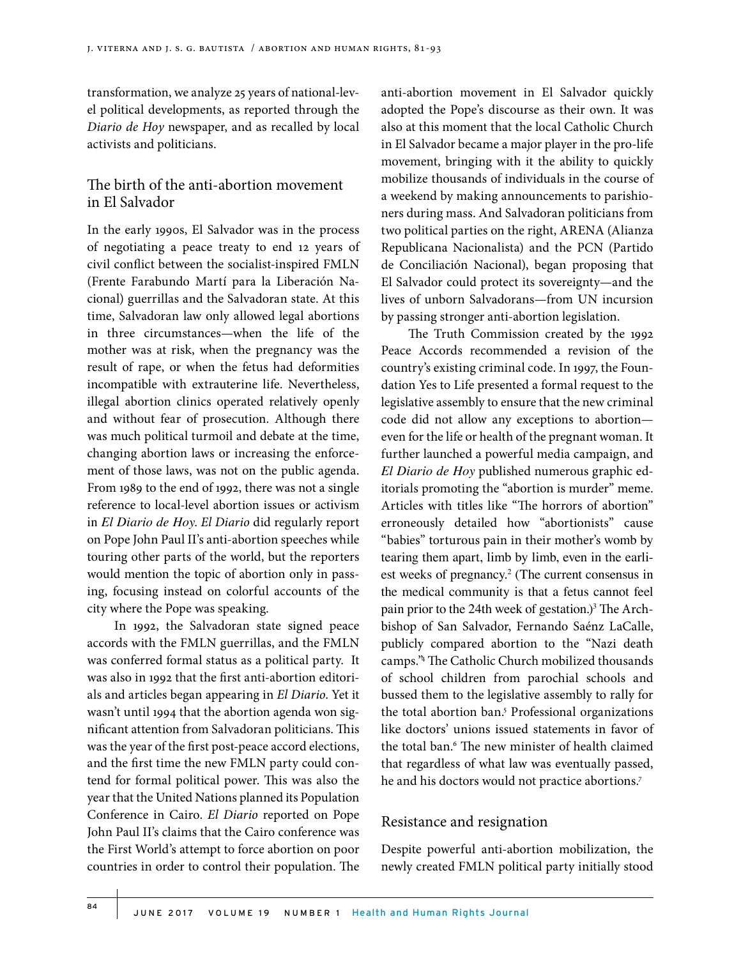transformation, we analyze 25 years of national-level political developments, as reported through the *Diario de Hoy* newspaper, and as recalled by local activists and politicians.

## The birth of the anti-abortion movement in El Salvador

In the early 1990s, El Salvador was in the process of negotiating a peace treaty to end 12 years of civil conflict between the socialist-inspired FMLN (Frente Farabundo Martí para la Liberación Nacional) guerrillas and the Salvadoran state. At this time, Salvadoran law only allowed legal abortions in three circumstances—when the life of the mother was at risk, when the pregnancy was the result of rape, or when the fetus had deformities incompatible with extrauterine life. Nevertheless, illegal abortion clinics operated relatively openly and without fear of prosecution. Although there was much political turmoil and debate at the time, changing abortion laws or increasing the enforcement of those laws, was not on the public agenda. From 1989 to the end of 1992, there was not a single reference to local-level abortion issues or activism in *El Diario de Hoy*. *El Diario* did regularly report on Pope John Paul II's anti-abortion speeches while touring other parts of the world, but the reporters would mention the topic of abortion only in passing, focusing instead on colorful accounts of the city where the Pope was speaking.

In 1992, the Salvadoran state signed peace accords with the FMLN guerrillas, and the FMLN was conferred formal status as a political party. It was also in 1992 that the first anti-abortion editorials and articles began appearing in *El Diario*. Yet it wasn't until 1994 that the abortion agenda won significant attention from Salvadoran politicians. This was the year of the first post-peace accord elections, and the first time the new FMLN party could contend for formal political power. This was also the year that the United Nations planned its Population Conference in Cairo. *El Diario* reported on Pope John Paul II's claims that the Cairo conference was the First World's attempt to force abortion on poor countries in order to control their population. The anti-abortion movement in El Salvador quickly adopted the Pope's discourse as their own. It was also at this moment that the local Catholic Church in El Salvador became a major player in the pro-life movement, bringing with it the ability to quickly mobilize thousands of individuals in the course of a weekend by making announcements to parishioners during mass. And Salvadoran politicians from two political parties on the right, ARENA (Alianza Republicana Nacionalista) and the PCN (Partido de Conciliación Nacional), began proposing that El Salvador could protect its sovereignty—and the lives of unborn Salvadorans—from UN incursion by passing stronger anti-abortion legislation.

The Truth Commission created by the 1992 Peace Accords recommended a revision of the country's existing criminal code. In 1997, the Foundation Yes to Life presented a formal request to the legislative assembly to ensure that the new criminal code did not allow any exceptions to abortion even for the life or health of the pregnant woman. It further launched a powerful media campaign, and *El Diario de Hoy* published numerous graphic editorials promoting the "abortion is murder" meme. Articles with titles like "The horrors of abortion" erroneously detailed how "abortionists" cause "babies" torturous pain in their mother's womb by tearing them apart, limb by limb, even in the earliest weeks of pregnancy.<sup>2</sup> (The current consensus in the medical community is that a fetus cannot feel pain prior to the 24th week of gestation.)<sup>3</sup> The Archbishop of San Salvador, Fernando Saénz LaCalle, publicly compared abortion to the "Nazi death camps."4 The Catholic Church mobilized thousands of school children from parochial schools and bussed them to the legislative assembly to rally for the total abortion ban.<sup>5</sup> Professional organizations like doctors' unions issued statements in favor of the total ban.6 The new minister of health claimed that regardless of what law was eventually passed, he and his doctors would not practice abortions.7

#### Resistance and resignation

Despite powerful anti-abortion mobilization, the newly created FMLN political party initially stood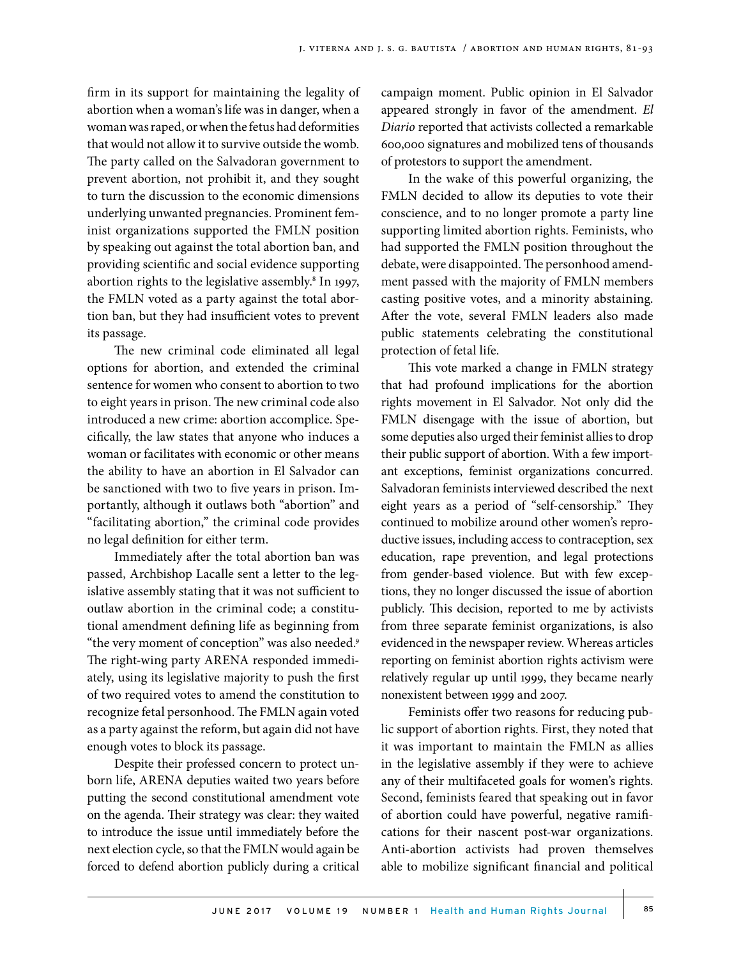firm in its support for maintaining the legality of abortion when a woman's life was in danger, when a woman was raped, or when the fetus had deformities that would not allow it to survive outside the womb. The party called on the Salvadoran government to prevent abortion, not prohibit it, and they sought to turn the discussion to the economic dimensions underlying unwanted pregnancies. Prominent feminist organizations supported the FMLN position by speaking out against the total abortion ban, and providing scientific and social evidence supporting abortion rights to the legislative assembly.<sup>8</sup> In 1997, the FMLN voted as a party against the total abortion ban, but they had insufficient votes to prevent its passage.

The new criminal code eliminated all legal options for abortion, and extended the criminal sentence for women who consent to abortion to two to eight years in prison. The new criminal code also introduced a new crime: abortion accomplice. Specifically, the law states that anyone who induces a woman or facilitates with economic or other means the ability to have an abortion in El Salvador can be sanctioned with two to five years in prison. Importantly, although it outlaws both "abortion" and "facilitating abortion," the criminal code provides no legal definition for either term.

Immediately after the total abortion ban was passed, Archbishop Lacalle sent a letter to the legislative assembly stating that it was not sufficient to outlaw abortion in the criminal code; a constitutional amendment defining life as beginning from "the very moment of conception" was also needed.9 The right-wing party ARENA responded immediately, using its legislative majority to push the first of two required votes to amend the constitution to recognize fetal personhood. The FMLN again voted as a party against the reform, but again did not have enough votes to block its passage.

Despite their professed concern to protect unborn life, ARENA deputies waited two years before putting the second constitutional amendment vote on the agenda. Their strategy was clear: they waited to introduce the issue until immediately before the next election cycle, so that the FMLN would again be forced to defend abortion publicly during a critical campaign moment. Public opinion in El Salvador appeared strongly in favor of the amendment. *El Diario* reported that activists collected a remarkable 600,000 signatures and mobilized tens of thousands of protestors to support the amendment.

In the wake of this powerful organizing, the FMLN decided to allow its deputies to vote their conscience, and to no longer promote a party line supporting limited abortion rights. Feminists, who had supported the FMLN position throughout the debate, were disappointed. The personhood amendment passed with the majority of FMLN members casting positive votes, and a minority abstaining. After the vote, several FMLN leaders also made public statements celebrating the constitutional protection of fetal life.

This vote marked a change in FMLN strategy that had profound implications for the abortion rights movement in El Salvador. Not only did the FMLN disengage with the issue of abortion, but some deputies also urged their feminist allies to drop their public support of abortion. With a few important exceptions, feminist organizations concurred. Salvadoran feminists interviewed described the next eight years as a period of "self-censorship." They continued to mobilize around other women's reproductive issues, including access to contraception, sex education, rape prevention, and legal protections from gender-based violence. But with few exceptions, they no longer discussed the issue of abortion publicly. This decision, reported to me by activists from three separate feminist organizations, is also evidenced in the newspaper review. Whereas articles reporting on feminist abortion rights activism were relatively regular up until 1999, they became nearly nonexistent between 1999 and 2007.

Feminists offer two reasons for reducing public support of abortion rights. First, they noted that it was important to maintain the FMLN as allies in the legislative assembly if they were to achieve any of their multifaceted goals for women's rights. Second, feminists feared that speaking out in favor of abortion could have powerful, negative ramifications for their nascent post-war organizations. Anti-abortion activists had proven themselves able to mobilize significant financial and political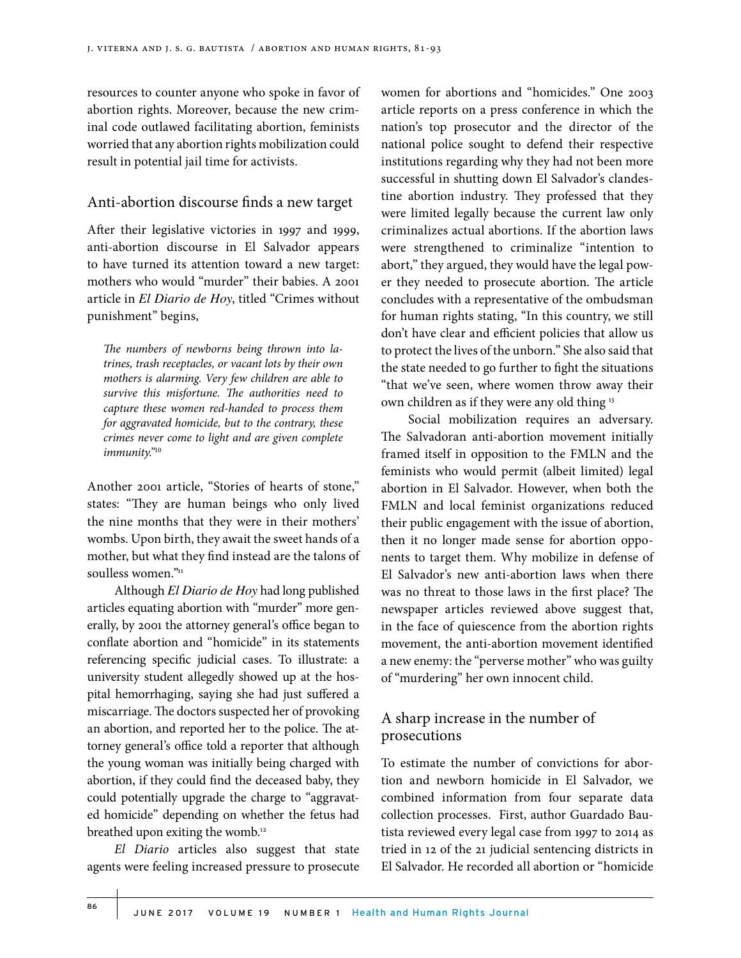resources to counter anyone who spoke in favor of abortion rights. Moreover, because the new criminal code outlawed facilitating abortion, feminists worried that any abortion rights mobilization could result in potential jail time for activists.

## Anti-abortion discourse finds a new target

After their legislative victories in 1997 and 1999, anti-abortion discourse in El Salvador appears to have turned its attention toward a new target: mothers who would "murder" their babies. A 2001 article in *El Diario de Hoy*, titled "Crimes without punishment" begins,

*The numbers of newborns being thrown into latrines, trash receptacles, or vacant lots by their own mothers is alarming. Very few children are able to survive this misfortune. The authorities need to capture these women red-handed to process them for aggravated homicide, but to the contrary, these crimes never come to light and are given complete immunity."*<sup>10</sup>

Another 2001 article, "Stories of hearts of stone," states: "They are human beings who only lived the nine months that they were in their mothers' wombs. Upon birth, they await the sweet hands of a mother, but what they find instead are the talons of soulless women."11

Although *El Diario de Hoy* had long published articles equating abortion with "murder" more generally, by 2001 the attorney general's office began to conflate abortion and "homicide" in its statements referencing specific judicial cases. To illustrate: a university student allegedly showed up at the hospital hemorrhaging, saying she had just suffered a miscarriage. The doctors suspected her of provoking an abortion, and reported her to the police. The attorney general's office told a reporter that although the young woman was initially being charged with abortion, if they could find the deceased baby, they could potentially upgrade the charge to "aggravated homicide" depending on whether the fetus had breathed upon exiting the womb.<sup>12</sup>

*El Diario* articles also suggest that state agents were feeling increased pressure to prosecute women for abortions and "homicides." One 2003 article reports on a press conference in which the nation's top prosecutor and the director of the national police sought to defend their respective institutions regarding why they had not been more successful in shutting down El Salvador's clandestine abortion industry. They professed that they were limited legally because the current law only criminalizes actual abortions. If the abortion laws were strengthened to criminalize "intention to abort," they argued, they would have the legal power they needed to prosecute abortion. The article concludes with a representative of the ombudsman for human rights stating, "In this country, we still don't have clear and efficient policies that allow us to protect the lives of the unborn." She also said that the state needed to go further to fight the situations "that we've seen, where women throw away their own children as if they were any old thing 13

Social mobilization requires an adversary. The Salvadoran anti-abortion movement initially framed itself in opposition to the FMLN and the feminists who would permit (albeit limited) legal abortion in El Salvador. However, when both the FMLN and local feminist organizations reduced their public engagement with the issue of abortion, then it no longer made sense for abortion opponents to target them. Why mobilize in defense of El Salvador's new anti-abortion laws when there was no threat to those laws in the first place? The newspaper articles reviewed above suggest that, in the face of quiescence from the abortion rights movement, the anti-abortion movement identified a new enemy: the "perverse mother" who was guilty of "murdering" her own innocent child.

# A sharp increase in the number of prosecutions

To estimate the number of convictions for abortion and newborn homicide in El Salvador, we combined information from four separate data collection processes. First, author Guardado Bautista reviewed every legal case from 1997 to 2014 as tried in 12 of the 21 judicial sentencing districts in El Salvador. He recorded all abortion or "homicide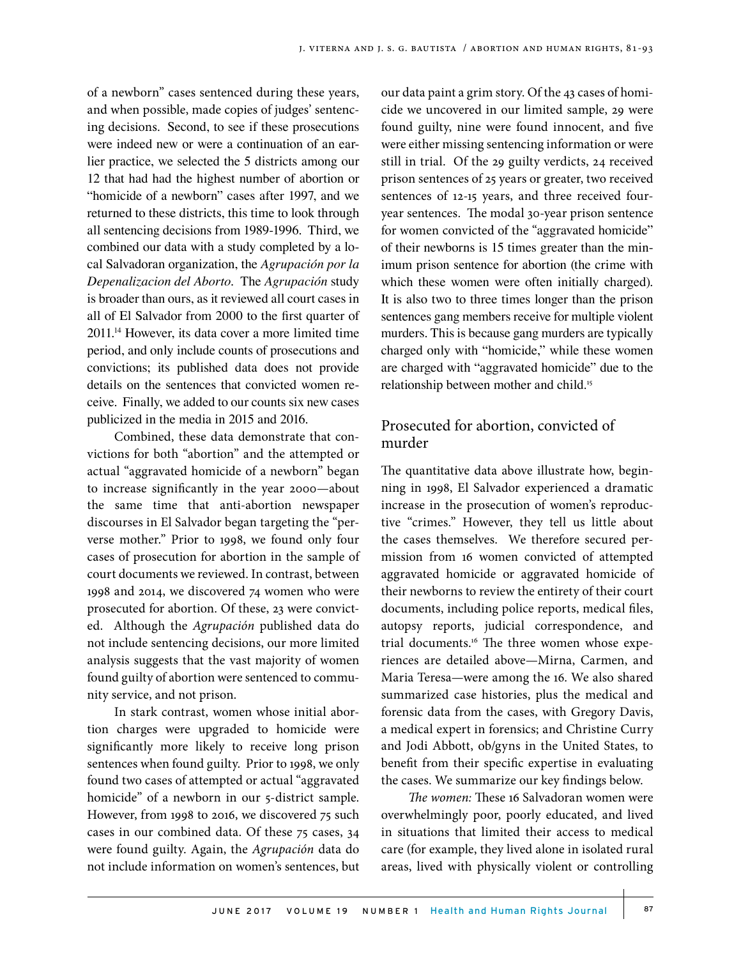of a newborn" cases sentenced during these years, and when possible, made copies of judges' sentencing decisions. Second, to see if these prosecutions were indeed new or were a continuation of an earlier practice, we selected the 5 districts among our 12 that had had the highest number of abortion or "homicide of a newborn" cases after 1997, and we returned to these districts, this time to look through all sentencing decisions from 1989-1996. Third, we combined our data with a study completed by a local Salvadoran organization, the *Agrupación por la Depenalizacion del Aborto.* The *Agrupación* study is broader than ours, as it reviewed all court cases in all of El Salvador from 2000 to the first quarter of 2011.14 However, its data cover a more limited time period, and only include counts of prosecutions and convictions; its published data does not provide details on the sentences that convicted women receive. Finally, we added to our counts six new cases publicized in the media in 2015 and 2016.

Combined, these data demonstrate that convictions for both "abortion" and the attempted or actual "aggravated homicide of a newborn" began to increase significantly in the year 2000—about the same time that anti-abortion newspaper discourses in El Salvador began targeting the "perverse mother." Prior to 1998, we found only four cases of prosecution for abortion in the sample of court documents we reviewed. In contrast, between 1998 and 2014, we discovered 74 women who were prosecuted for abortion. Of these, 23 were convicted. Although the *Agrupación* published data do not include sentencing decisions, our more limited analysis suggests that the vast majority of women found guilty of abortion were sentenced to community service, and not prison.

In stark contrast, women whose initial abortion charges were upgraded to homicide were significantly more likely to receive long prison sentences when found guilty. Prior to 1998, we only found two cases of attempted or actual "aggravated homicide" of a newborn in our 5-district sample. However, from 1998 to 2016, we discovered 75 such cases in our combined data. Of these 75 cases, 34 were found guilty. Again, the *Agrupación* data do not include information on women's sentences, but our data paint a grim story. Of the 43 cases of homicide we uncovered in our limited sample, 29 were found guilty, nine were found innocent, and five were either missing sentencing information or were still in trial. Of the 29 guilty verdicts, 24 received prison sentences of 25 years or greater, two received sentences of 12-15 years, and three received fouryear sentences. The modal 30-year prison sentence for women convicted of the "aggravated homicide" of their newborns is 15 times greater than the minimum prison sentence for abortion (the crime with which these women were often initially charged). It is also two to three times longer than the prison sentences gang members receive for multiple violent murders. This is because gang murders are typically charged only with "homicide," while these women are charged with "aggravated homicide" due to the relationship between mother and child.<sup>15</sup>

# Prosecuted for abortion, convicted of murder

The quantitative data above illustrate how, beginning in 1998, El Salvador experienced a dramatic increase in the prosecution of women's reproductive "crimes." However, they tell us little about the cases themselves. We therefore secured permission from 16 women convicted of attempted aggravated homicide or aggravated homicide of their newborns to review the entirety of their court documents, including police reports, medical files, autopsy reports, judicial correspondence, and trial documents.<sup>16</sup> The three women whose experiences are detailed above—Mirna, Carmen, and Maria Teresa—were among the 16. We also shared summarized case histories, plus the medical and forensic data from the cases, with Gregory Davis, a medical expert in forensics; and Christine Curry and Jodi Abbott, ob/gyns in the United States, to benefit from their specific expertise in evaluating the cases. We summarize our key findings below.

*The women:* These 16 Salvadoran women were overwhelmingly poor, poorly educated, and lived in situations that limited their access to medical care (for example, they lived alone in isolated rural areas, lived with physically violent or controlling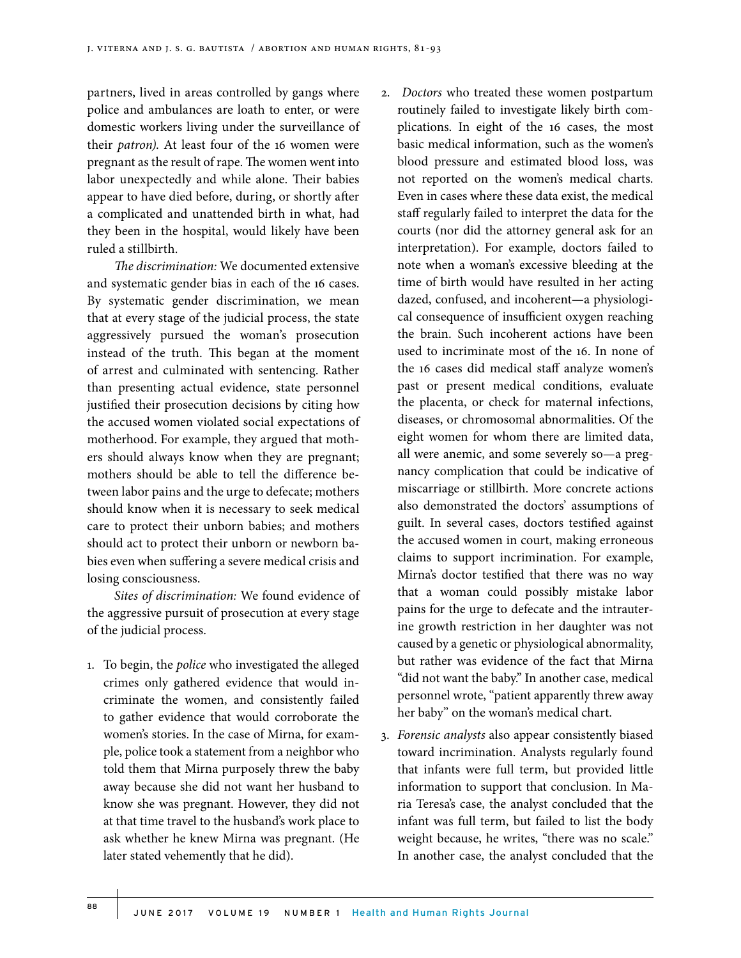partners, lived in areas controlled by gangs where police and ambulances are loath to enter, or were domestic workers living under the surveillance of their *patron)*. At least four of the 16 women were pregnant as the result of rape. The women went into labor unexpectedly and while alone. Their babies appear to have died before, during, or shortly after a complicated and unattended birth in what, had they been in the hospital, would likely have been ruled a stillbirth.

*The discrimination:* We documented extensive and systematic gender bias in each of the 16 cases. By systematic gender discrimination, we mean that at every stage of the judicial process, the state aggressively pursued the woman's prosecution instead of the truth. This began at the moment of arrest and culminated with sentencing. Rather than presenting actual evidence, state personnel justified their prosecution decisions by citing how the accused women violated social expectations of motherhood. For example, they argued that mothers should always know when they are pregnant; mothers should be able to tell the difference between labor pains and the urge to defecate; mothers should know when it is necessary to seek medical care to protect their unborn babies; and mothers should act to protect their unborn or newborn babies even when suffering a severe medical crisis and losing consciousness.

*Sites of discrimination:* We found evidence of the aggressive pursuit of prosecution at every stage of the judicial process.

- 1. To begin, the *police* who investigated the alleged crimes only gathered evidence that would incriminate the women, and consistently failed to gather evidence that would corroborate the women's stories. In the case of Mirna, for example, police took a statement from a neighbor who told them that Mirna purposely threw the baby away because she did not want her husband to know she was pregnant. However, they did not at that time travel to the husband's work place to ask whether he knew Mirna was pregnant. (He later stated vehemently that he did).
- 2. *Doctors* who treated these women postpartum routinely failed to investigate likely birth complications. In eight of the 16 cases, the most basic medical information, such as the women's blood pressure and estimated blood loss, was not reported on the women's medical charts. Even in cases where these data exist, the medical staff regularly failed to interpret the data for the courts (nor did the attorney general ask for an interpretation). For example, doctors failed to note when a woman's excessive bleeding at the time of birth would have resulted in her acting dazed, confused, and incoherent—a physiological consequence of insufficient oxygen reaching the brain. Such incoherent actions have been used to incriminate most of the 16. In none of the 16 cases did medical staff analyze women's past or present medical conditions, evaluate the placenta, or check for maternal infections, diseases, or chromosomal abnormalities. Of the eight women for whom there are limited data, all were anemic, and some severely so—a pregnancy complication that could be indicative of miscarriage or stillbirth. More concrete actions also demonstrated the doctors' assumptions of guilt. In several cases, doctors testified against the accused women in court, making erroneous claims to support incrimination. For example, Mirna's doctor testified that there was no way that a woman could possibly mistake labor pains for the urge to defecate and the intrauterine growth restriction in her daughter was not caused by a genetic or physiological abnormality, but rather was evidence of the fact that Mirna "did not want the baby." In another case, medical personnel wrote, "patient apparently threw away her baby" on the woman's medical chart.
- 3. *Forensic analysts* also appear consistently biased toward incrimination. Analysts regularly found that infants were full term, but provided little information to support that conclusion. In Maria Teresa's case, the analyst concluded that the infant was full term, but failed to list the body weight because, he writes, "there was no scale." In another case, the analyst concluded that the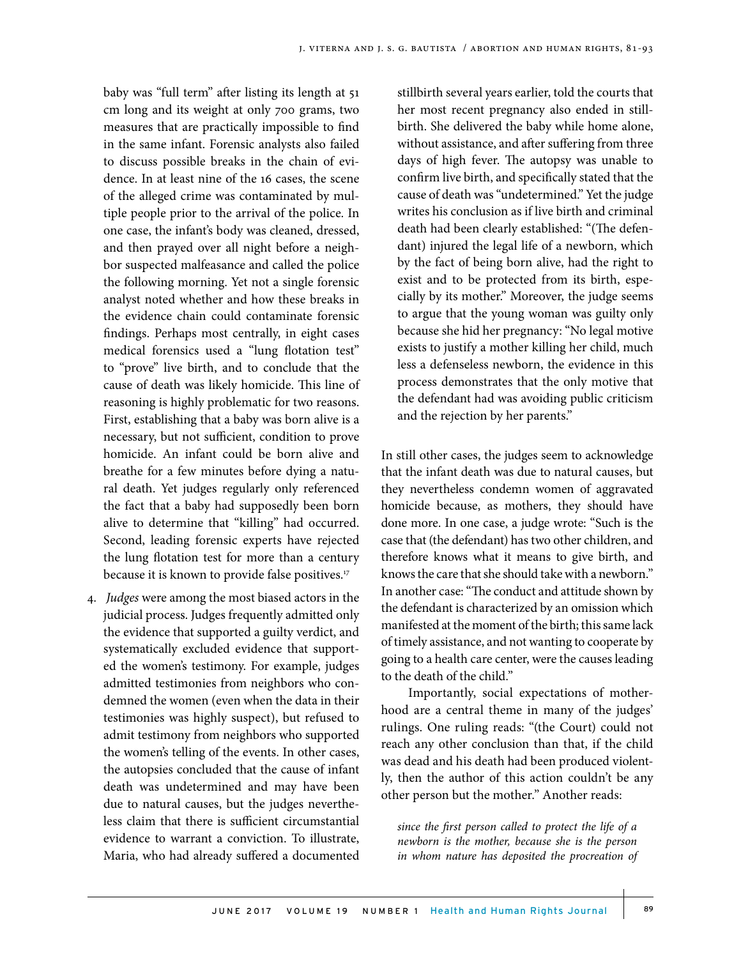baby was "full term" after listing its length at 51 cm long and its weight at only 700 grams, two measures that are practically impossible to find in the same infant. Forensic analysts also failed to discuss possible breaks in the chain of evidence. In at least nine of the 16 cases, the scene of the alleged crime was contaminated by multiple people prior to the arrival of the police. In one case, the infant's body was cleaned, dressed, and then prayed over all night before a neighbor suspected malfeasance and called the police the following morning. Yet not a single forensic analyst noted whether and how these breaks in the evidence chain could contaminate forensic findings. Perhaps most centrally, in eight cases medical forensics used a "lung flotation test" to "prove" live birth, and to conclude that the cause of death was likely homicide. This line of reasoning is highly problematic for two reasons. First, establishing that a baby was born alive is a necessary, but not sufficient, condition to prove homicide. An infant could be born alive and breathe for a few minutes before dying a natural death. Yet judges regularly only referenced the fact that a baby had supposedly been born alive to determine that "killing" had occurred. Second, leading forensic experts have rejected the lung flotation test for more than a century because it is known to provide false positives.<sup>17</sup>

4. *Judges* were among the most biased actors in the judicial process. Judges frequently admitted only the evidence that supported a guilty verdict, and systematically excluded evidence that supported the women's testimony. For example, judges admitted testimonies from neighbors who condemned the women (even when the data in their testimonies was highly suspect), but refused to admit testimony from neighbors who supported the women's telling of the events. In other cases, the autopsies concluded that the cause of infant death was undetermined and may have been due to natural causes, but the judges nevertheless claim that there is sufficient circumstantial evidence to warrant a conviction. To illustrate, Maria, who had already suffered a documented

stillbirth several years earlier, told the courts that her most recent pregnancy also ended in stillbirth. She delivered the baby while home alone, without assistance, and after suffering from three days of high fever. The autopsy was unable to confirm live birth, and specifically stated that the cause of death was "undetermined." Yet the judge writes his conclusion as if live birth and criminal death had been clearly established: "(The defendant) injured the legal life of a newborn, which by the fact of being born alive, had the right to exist and to be protected from its birth, especially by its mother." Moreover, the judge seems to argue that the young woman was guilty only because she hid her pregnancy: "No legal motive exists to justify a mother killing her child, much less a defenseless newborn, the evidence in this process demonstrates that the only motive that the defendant had was avoiding public criticism and the rejection by her parents."

In still other cases, the judges seem to acknowledge that the infant death was due to natural causes, but they nevertheless condemn women of aggravated homicide because, as mothers, they should have done more. In one case, a judge wrote: "Such is the case that (the defendant) has two other children, and therefore knows what it means to give birth, and knows the care that she should take with a newborn." In another case: "The conduct and attitude shown by the defendant is characterized by an omission which manifested at the moment of the birth; this same lack of timely assistance, and not wanting to cooperate by going to a health care center, were the causes leading to the death of the child."

Importantly, social expectations of motherhood are a central theme in many of the judges' rulings. One ruling reads: "(the Court) could not reach any other conclusion than that, if the child was dead and his death had been produced violently, then the author of this action couldn't be any other person but the mother." Another reads:

*since the first person called to protect the life of a newborn is the mother, because she is the person in whom nature has deposited the procreation of*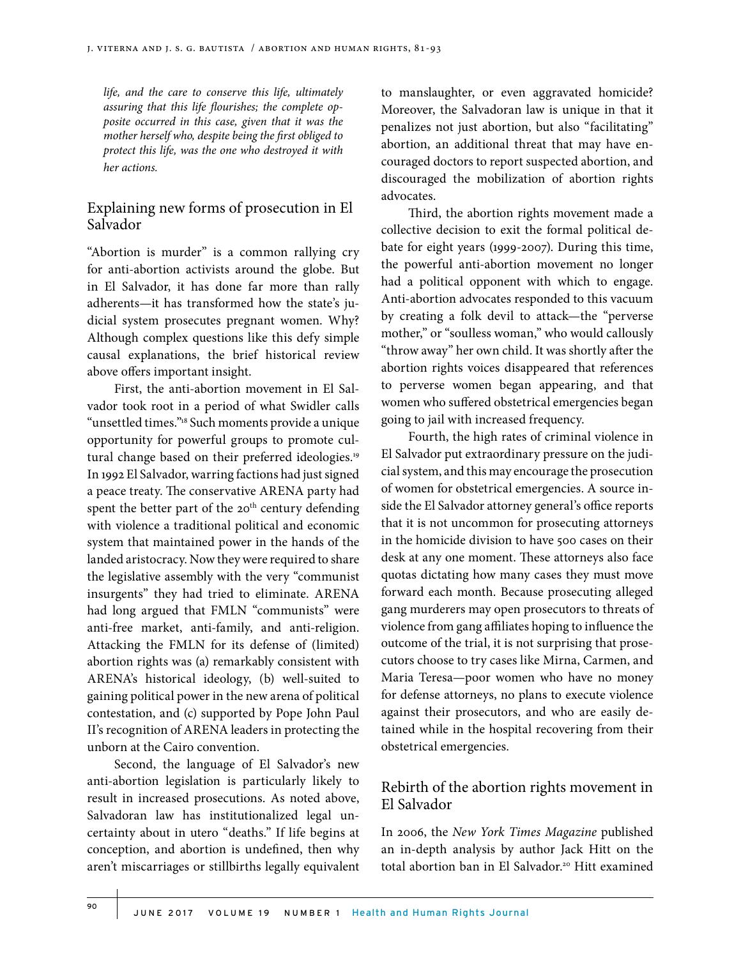*life, and the care to conserve this life, ultimately assuring that this life flourishes; the complete opposite occurred in this case, given that it was the mother herself who, despite being the first obliged to protect this life, was the one who destroyed it with her actions.*

#### Explaining new forms of prosecution in El Salvador

"Abortion is murder" is a common rallying cry for anti-abortion activists around the globe. But in El Salvador, it has done far more than rally adherents—it has transformed how the state's judicial system prosecutes pregnant women. Why? Although complex questions like this defy simple causal explanations, the brief historical review above offers important insight.

First, the anti-abortion movement in El Salvador took root in a period of what Swidler calls "unsettled times."18 Such moments provide a unique opportunity for powerful groups to promote cultural change based on their preferred ideologies.<sup>19</sup> In 1992 El Salvador, warring factions had just signed a peace treaty. The conservative ARENA party had spent the better part of the 20<sup>th</sup> century defending with violence a traditional political and economic system that maintained power in the hands of the landed aristocracy. Now they were required to share the legislative assembly with the very "communist insurgents" they had tried to eliminate. ARENA had long argued that FMLN "communists" were anti-free market, anti-family, and anti-religion. Attacking the FMLN for its defense of (limited) abortion rights was (a) remarkably consistent with ARENA's historical ideology, (b) well-suited to gaining political power in the new arena of political contestation, and (c) supported by Pope John Paul II's recognition of ARENA leaders in protecting the unborn at the Cairo convention.

Second, the language of El Salvador's new anti-abortion legislation is particularly likely to result in increased prosecutions. As noted above, Salvadoran law has institutionalized legal uncertainty about in utero "deaths." If life begins at conception, and abortion is undefined, then why aren't miscarriages or stillbirths legally equivalent

to manslaughter, or even aggravated homicide? Moreover, the Salvadoran law is unique in that it penalizes not just abortion, but also "facilitating" abortion, an additional threat that may have encouraged doctors to report suspected abortion, and discouraged the mobilization of abortion rights advocates.

Third, the abortion rights movement made a collective decision to exit the formal political debate for eight years (1999-2007). During this time, the powerful anti-abortion movement no longer had a political opponent with which to engage. Anti-abortion advocates responded to this vacuum by creating a folk devil to attack—the "perverse mother," or "soulless woman," who would callously "throw away" her own child. It was shortly after the abortion rights voices disappeared that references to perverse women began appearing, and that women who suffered obstetrical emergencies began going to jail with increased frequency.

Fourth, the high rates of criminal violence in El Salvador put extraordinary pressure on the judicial system, and this may encourage the prosecution of women for obstetrical emergencies. A source inside the El Salvador attorney general's office reports that it is not uncommon for prosecuting attorneys in the homicide division to have 500 cases on their desk at any one moment. These attorneys also face quotas dictating how many cases they must move forward each month. Because prosecuting alleged gang murderers may open prosecutors to threats of violence from gang affiliates hoping to influence the outcome of the trial, it is not surprising that prosecutors choose to try cases like Mirna, Carmen, and Maria Teresa—poor women who have no money for defense attorneys, no plans to execute violence against their prosecutors, and who are easily detained while in the hospital recovering from their obstetrical emergencies.

# Rebirth of the abortion rights movement in El Salvador

In 2006, the *New York Times Magazine* published an in-depth analysis by author Jack Hitt on the total abortion ban in El Salvador.<sup>20</sup> Hitt examined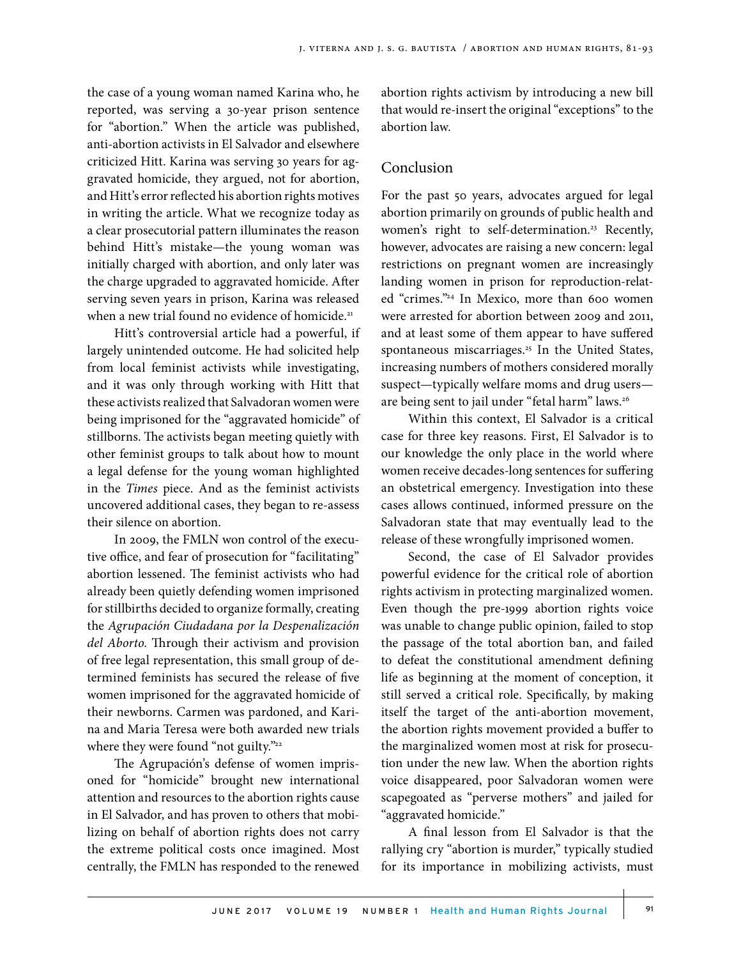the case of a young woman named Karina who, he reported, was serving a 30-year prison sentence for "abortion." When the article was published, anti-abortion activists in El Salvador and elsewhere criticized Hitt. Karina was serving 30 years for aggravated homicide, they argued, not for abortion, and Hitt's error reflected his abortion rights motives in writing the article. What we recognize today as a clear prosecutorial pattern illuminates the reason behind Hitt's mistake—the young woman was initially charged with abortion, and only later was the charge upgraded to aggravated homicide. After serving seven years in prison, Karina was released when a new trial found no evidence of homicide.<sup>21</sup>

Hitt's controversial article had a powerful, if largely unintended outcome. He had solicited help from local feminist activists while investigating, and it was only through working with Hitt that these activists realized that Salvadoran women were being imprisoned for the "aggravated homicide" of stillborns. The activists began meeting quietly with other feminist groups to talk about how to mount a legal defense for the young woman highlighted in the *Times* piece. And as the feminist activists uncovered additional cases, they began to re-assess their silence on abortion.

In 2009, the FMLN won control of the executive office, and fear of prosecution for "facilitating" abortion lessened. The feminist activists who had already been quietly defending women imprisoned for stillbirths decided to organize formally, creating the *Agrupación Ciudadana por la Despenalización del Aborto*. Through their activism and provision of free legal representation, this small group of determined feminists has secured the release of five women imprisoned for the aggravated homicide of their newborns. Carmen was pardoned, and Karina and Maria Teresa were both awarded new trials where they were found "not guilty."<sup>22</sup>

The Agrupación's defense of women imprisoned for "homicide" brought new international attention and resources to the abortion rights cause in El Salvador, and has proven to others that mobilizing on behalf of abortion rights does not carry the extreme political costs once imagined. Most centrally, the FMLN has responded to the renewed abortion rights activism by introducing a new bill that would re-insert the original "exceptions" to the abortion law.

## Conclusion

For the past 50 years, advocates argued for legal abortion primarily on grounds of public health and women's right to self-determination.<sup>23</sup> Recently, however, advocates are raising a new concern: legal restrictions on pregnant women are increasingly landing women in prison for reproduction-related "crimes."24 In Mexico, more than 600 women were arrested for abortion between 2009 and 2011, and at least some of them appear to have suffered spontaneous miscarriages.<sup>25</sup> In the United States, increasing numbers of mothers considered morally suspect—typically welfare moms and drug users are being sent to jail under "fetal harm" laws.<sup>26</sup>

Within this context, El Salvador is a critical case for three key reasons. First, El Salvador is to our knowledge the only place in the world where women receive decades-long sentences for suffering an obstetrical emergency. Investigation into these cases allows continued, informed pressure on the Salvadoran state that may eventually lead to the release of these wrongfully imprisoned women.

Second, the case of El Salvador provides powerful evidence for the critical role of abortion rights activism in protecting marginalized women. Even though the pre-1999 abortion rights voice was unable to change public opinion, failed to stop the passage of the total abortion ban, and failed to defeat the constitutional amendment defining life as beginning at the moment of conception, it still served a critical role. Specifically, by making itself the target of the anti-abortion movement, the abortion rights movement provided a buffer to the marginalized women most at risk for prosecution under the new law. When the abortion rights voice disappeared, poor Salvadoran women were scapegoated as "perverse mothers" and jailed for "aggravated homicide."

A final lesson from El Salvador is that the rallying cry "abortion is murder," typically studied for its importance in mobilizing activists, must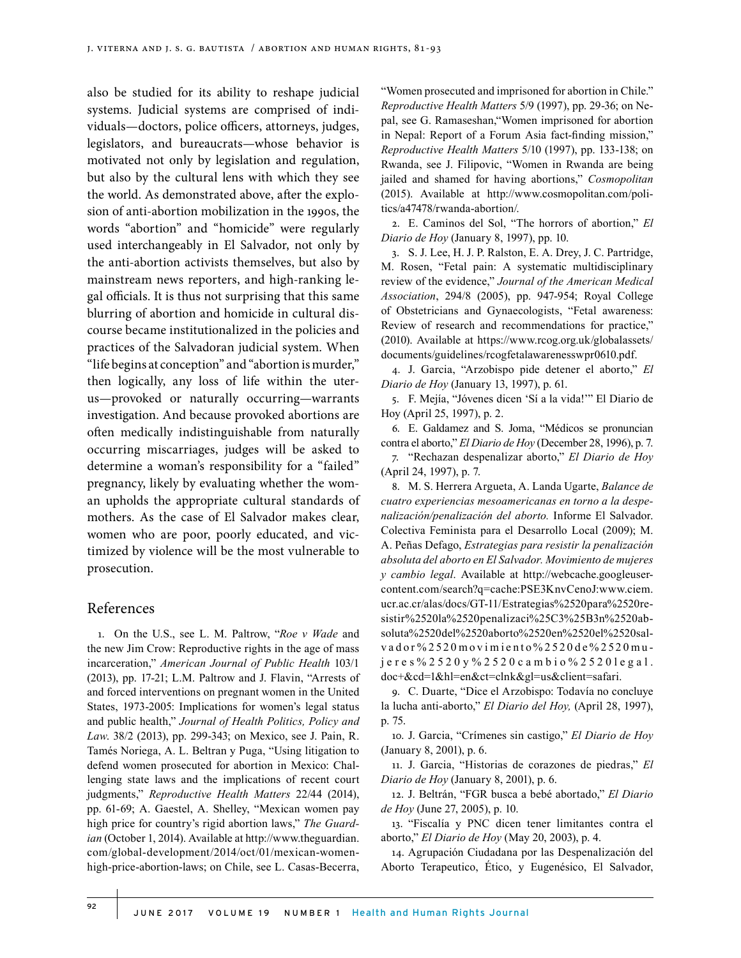also be studied for its ability to reshape judicial systems. Judicial systems are comprised of individuals—doctors, police officers, attorneys, judges, legislators, and bureaucrats—whose behavior is motivated not only by legislation and regulation, but also by the cultural lens with which they see the world. As demonstrated above, after the explosion of anti-abortion mobilization in the 1990s, the words "abortion" and "homicide" were regularly used interchangeably in El Salvador, not only by the anti-abortion activists themselves, but also by mainstream news reporters, and high-ranking legal officials. It is thus not surprising that this same blurring of abortion and homicide in cultural discourse became institutionalized in the policies and practices of the Salvadoran judicial system. When "life begins at conception" and "abortion is murder," then logically, any loss of life within the uterus—provoked or naturally occurring—warrants investigation. And because provoked abortions are often medically indistinguishable from naturally occurring miscarriages, judges will be asked to determine a woman's responsibility for a "failed" pregnancy, likely by evaluating whether the woman upholds the appropriate cultural standards of mothers. As the case of El Salvador makes clear, women who are poor, poorly educated, and victimized by violence will be the most vulnerable to prosecution.

#### References

1. On the U.S., see L. M. Paltrow, "*Roe v Wade* and the new Jim Crow: Reproductive rights in the age of mass incarceration," *American Journal of Public Health* 103/1 (2013), pp. 17-21; L.M. Paltrow and J. Flavin, "Arrests of and forced interventions on pregnant women in the United States, 1973-2005: Implications for women's legal status and public health," *Journal of Health Politics, Policy and Law*. 38/2 (2013), pp. 299-343; on Mexico, see J. Pain, R. Tamés Noriega, A. L. Beltran y Puga, "Using litigation to defend women prosecuted for abortion in Mexico: Challenging state laws and the implications of recent court judgments," *Reproductive Health Matters* 22/44 (2014), pp. 61-69; A. Gaestel, A. Shelley, "Mexican women pay high price for country's rigid abortion laws," *The Guardian* (October 1, 2014). Available at http://www.theguardian. com/global-development/2014/oct/01/mexican-womenhigh-price-abortion-laws; on Chile, see L. Casas-Becerra,

"Women prosecuted and imprisoned for abortion in Chile." *Reproductive Health Matters* 5/9 (1997), pp. 29-36; on Nepal, see G. Ramaseshan,"Women imprisoned for abortion in Nepal: Report of a Forum Asia fact-finding mission," *Reproductive Health Matters* 5/10 (1997), pp. 133-138; on Rwanda, see J. Filipovic, "Women in Rwanda are being jailed and shamed for having abortions," *Cosmopolitan* (2015). Available at http://www.cosmopolitan.com/politics/a47478/rwanda-abortion/.

2. E. Caminos del Sol, "The horrors of abortion," *El Diario de Hoy* (January 8, 1997), pp. 10.

3. S. J. Lee, H. J. P. Ralston, E. A. Drey, J. C. Partridge, M. Rosen, "Fetal pain: A systematic multidisciplinary review of the evidence," *Journal of the American Medical Association*, 294/8 (2005), pp. 947-954; Royal College of Obstetricians and Gynaecologists, "Fetal awareness: Review of research and recommendations for practice," (2010). Available at https://www.rcog.org.uk/globalassets/ documents/guidelines/rcogfetalawarenesswpr0610.pdf.

4. J. Garcia, "Arzobispo pide detener el aborto," *El Diario de Hoy* (January 13, 1997), p. 61.

5. F. Mejía, "Jóvenes dicen 'Sí a la vida!'" El Diario de Hoy (April 25, 1997), p. 2.

6. E. Galdamez and S. Joma, "Médicos se pronuncian contra el aborto," *El Diario de Hoy* (December 28, 1996), p. 7.

7. "Rechazan despenalizar aborto," *El Diario de Hoy* (April 24, 1997), p. 7.

8. M. S. Herrera Argueta, A. Landa Ugarte, *Balance de cuatro experiencias mesoamericanas en torno a la despenalización/penalización del aborto.* Informe El Salvador. Colectiva Feminista para el Desarrollo Local (2009); M. A. Peñas Defago, *Estrategias para resistir la penalización absoluta del aborto en El Salvador. Movimiento de mujeres y cambio legal*. Available at http://webcache.googleusercontent.com/search?q=cache:PSE3KnvCenoJ:www.ciem. ucr.ac.cr/alas/docs/GT-11/Estrategias%2520para%2520resistir%2520la%2520penalizaci%25C3%25B3n%2520absoluta%2520del%2520aborto%2520en%2520el%2520salvador%2520movimiento%2520de%2520mu jeres%2520y%2520cambio%2520legal. doc+&cd=1&hl=en&ct=clnk&gl=us&client=safari.

9. C. Duarte, "Dice el Arzobispo: Todavía no concluye la lucha anti-aborto," *El Diario del Hoy,* (April 28, 1997), p. 75.

10. J. Garcia, "Crímenes sin castigo," *El Diario de Hoy* (January 8, 2001), p. 6.

11. J. Garcia, "Historias de corazones de piedras," *El Diario de Hoy* (January 8, 2001), p. 6.

12. J. Beltrán, "FGR busca a bebé abortado," *El Diario de Hoy* (June 27, 2005), p. 10.

13. "Fiscalía y PNC dicen tener limitantes contra el aborto," *El Diario de Hoy* (May 20, 2003), p. 4.

14. Agrupación Ciudadana por las Despenalización del Aborto Terapeutico, Ético, y Eugenésico, El Salvador,